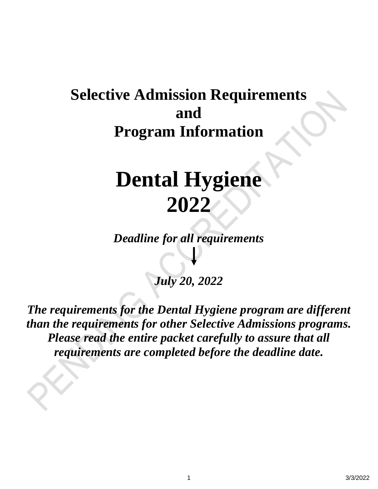# **Selective Admission Requirements and Program Information**

# **Dental Hygiene 2022**

*Deadline for all requirements*

*July 20, 2022*

*The requirements for the Dental Hygiene program are different than the requirements for other Selective Admissions programs. Please read the entire packet carefully to assure that all requirements are completed before the deadline date.*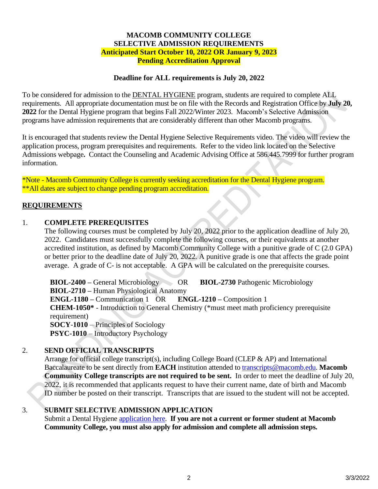#### **MACOMB COMMUNITY COLLEGE SELECTIVE ADMISSION REQUIREMENTS Anticipated Start October 10, 2022 OR January 9, 2023 Pending Accreditation Approval**

#### **Deadline for ALL requirements is July 20, 2022**

To be considered for admission to the **DENTAL HYGIENE** program, students are required to complete ALL requirements. All appropriate documentation must be on file with the Records and Registration Office by **July 20, 2022** for the Dental Hygiene program that begins Fall 2022/Winter 2023. Macomb's Selective Admission programs have admission requirements that are considerably different than other Macomb programs.

It is encouraged that students review the Dental Hygiene Selective Requirements video. The video will review the application process, program prerequisites and requirements. Refer to the video link located on the Selective Admissions webpage**.** Contact the Counseling and Academic Advising Office at 586.445.7999 for further program information.

\*Note - Macomb Community College is currently seeking accreditation for the Dental Hygiene program. \*\*All dates are subject to change pending program accreditation.

#### **REQUIREMENTS**

#### 1. **COMPLETE PREREQUISITES**

The following courses must be completed by July 20, 2022 prior to the application deadline of July 20, 2022. Candidates must successfully complete the following courses, or their equivalents at another accredited institution, as defined by Macomb Community College with a punitive grade of C (2.0 GPA) or better prior to the deadline date of July 20, 2022. A punitive grade is one that affects the grade point average. A grade of C- is not acceptable. A GPA will be calculated on the prerequisite courses.

**BIOL-2400 –** General Microbiology OR **BIOL-2730** Pathogenic Microbiology **BIOL-2710 –** Human Physiological Anatomy **ENGL-1180 –** Communication 1 OR **ENGL-1210 –** Composition 1 **CHEM-1050\*** - Introduction to General Chemistry (\*must meet math proficiency prerequisite requirement) **SOCY**-**1010** – Principles of Sociology **PSYC-1010** – Introductory Psychology

### 2. **SEND OFFICIAL TRANSCRIPTS**

Arrange for official college transcript(s), including College Board (CLEP & AP) and International Baccalaureate to be sent directly from **EACH** institution attended to [transcripts@macomb.edu.](mailto:transcripts@macomb.edu) **Macomb Community College transcripts are not required to be sent.** In order to meet the deadline of July 20, 2022, it is recommended that applicants request to have their current name, date of birth and Macomb ID number be posted on their transcript. Transcripts that are issued to the student will not be accepted.

#### 3. **SUBMIT SELECTIVE ADMISSION APPLICATION**

Submit a Dental Hygiene [application here.](https://app.perfectforms.com/PresentationServer/Form.aspx/Play/ezRmAgAp?f=ezRmAgAp) **If you are not a current or former student at Macomb Community College, you must also apply for admission and complete all admission steps.**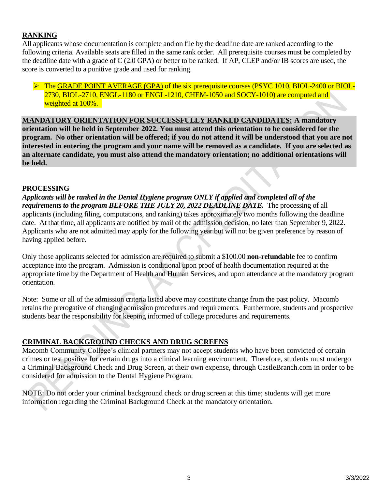# **RANKING**

All applicants whose documentation is complete and on file by the deadline date are ranked according to the following criteria. Available seats are filled in the same rank order. All prerequisite courses must be completed by the deadline date with a grade of C (2.0 GPA) or better to be ranked. If AP, CLEP and/or IB scores are used, the score is converted to a punitive grade and used for ranking.

➢ The GRADE POINT AVERAGE (GPA) of the six prerequisite courses (PSYC 1010, BIOL-2400 or BIOL-2730, BIOL-2710, ENGL-1180 or ENGL-1210, CHEM-1050 and SOCY-1010) are computed and weighted at 100%.

### **MANDATORY ORIENTATION FOR SUCCESSFULLY RANKED CANDIDATES: A mandatory**

**orientation will be held in September 2022. You must attend this orientation to be considered for the program. No other orientation will be offered; if you do not attend it will be understood that you are not interested in entering the program and your name will be removed as a candidate. If you are selected as an alternate candidate, you must also attend the mandatory orientation; no additional orientations will be held.**

#### **PROCESSING**

*Applicants will be ranked in the Dental Hygiene program ONLY if applied and completed all of the requirements to the program BEFORE THE JULY 20, 2022 DEADLINE DATE.*The processing of all applicants (including filing, computations, and ranking) takes approximately two months following the deadline date. At that time, all applicants are notified by mail of the admission decision, no later than September 9, 2022. Applicants who are not admitted may apply for the following year but will not be given preference by reason of having applied before.

Only those applicants selected for admission are required to submit a \$100.00 **non-refundable** fee to confirm acceptance into the program. Admission is conditional upon proof of health documentation required at the appropriate time by the Department of Health and Human Services, and upon attendance at the mandatory program orientation.

Note: Some or all of the admission criteria listed above may constitute change from the past policy. Macomb retains the prerogative of changing admission procedures and requirements. Furthermore, students and prospective students bear the responsibility for keeping informed of college procedures and requirements.

### **CRIMINAL BACKGROUND CHECKS AND DRUG SCREENS**

Macomb Community College's clinical partners may not accept students who have been convicted of certain crimes or test positive for certain drugs into a clinical learning environment. Therefore, students must undergo a Criminal Background Check and Drug Screen, at their own expense, through CastleBranch.com in order to be considered for admission to the Dental Hygiene Program.

NOTE: Do not order your criminal background check or drug screen at this time; students will get more information regarding the Criminal Background Check at the mandatory orientation.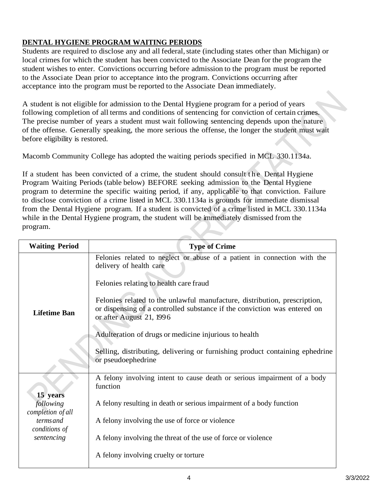# **DENTAL HYGIENE PROGRAM WAITING PERIODS**

Students are required to disclose any and all federal, state (including states other than Michigan) or local crimes for which the student has been convicted to the Associate Dean for the program the student wishes to enter. Convictions occurring before admission to the program must be reported to the Associate Dean prior to acceptance into the program. Convictions occurring after acceptance into the program must be reported to the Associate Dean immediately.

A student is not eligible for admission to the Dental Hygiene program for a period of years following completion of all terms and conditions of sentencing for conviction of certain crimes. The precise number of years a student must wait following sentencing depends upon the nature of the offense. Generally speaking, the more serious the offense, the longer the student must wait before eligibility is restored.

Macomb Community College has adopted the waiting periods specified in MCL 330.1134a.

If a student has been convicted of a crime, the student should consult the Dental Hygiene Program Waiting Periods (table below) BEFORE seeking admission to the Dental Hygiene program to determine the specific waiting period, if any, applicable to that conviction. Failure to disclose conviction of a crime listed in MCL 330.1134a is grounds for immediate dismissal from the Dental Hygiene program. If a student is convicted of a crime listed in MCL 330.1134a while in the Dental Hygiene program, the student will be immediately dismissed from the program.

| <b>Waiting Period</b>                                                           | <b>Type of Crime</b>                                                                                                                                                                                                                                                                                                                                                                                                                                                                              |  |
|---------------------------------------------------------------------------------|---------------------------------------------------------------------------------------------------------------------------------------------------------------------------------------------------------------------------------------------------------------------------------------------------------------------------------------------------------------------------------------------------------------------------------------------------------------------------------------------------|--|
| <b>Lifetime Ban</b>                                                             | Felonies related to neglect or abuse of a patient in connection with the<br>delivery of health care<br>Felonies relating to health care fraud<br>Felonies related to the unlawful manufacture, distribution, prescription,<br>or dispensing of a controlled substance if the conviction was entered on<br>or after August 21, 1996<br>Adulteration of drugs or medicine injurious to health<br>Selling, distributing, delivering or furnishing product containing ephedrine<br>or pseudoephedrine |  |
| 15 years<br>following<br>completion of all<br><i>terms and</i><br>conditions of | A felony involving intent to cause death or serious impairment of a body<br>function<br>A felony resulting in death or serious impairment of a body function<br>A felony involving the use of force or violence<br>A felony involving the threat of the use of force or violence                                                                                                                                                                                                                  |  |
| sentencing                                                                      | A felony involving cruelty or torture                                                                                                                                                                                                                                                                                                                                                                                                                                                             |  |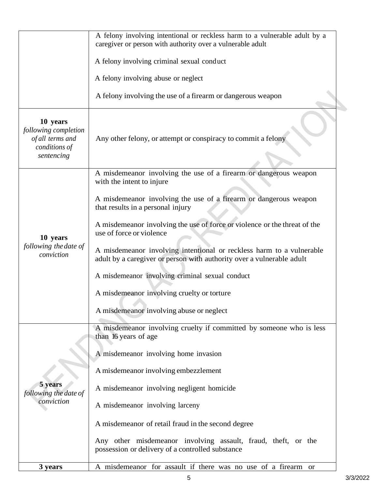|                                                                                     | A felony involving intentional or reckless harm to a vulnerable adult by a<br>caregiver or person with authority over a vulnerable adult      |
|-------------------------------------------------------------------------------------|-----------------------------------------------------------------------------------------------------------------------------------------------|
|                                                                                     | A felony involving criminal sexual conduct                                                                                                    |
|                                                                                     | A felony involving abuse or neglect                                                                                                           |
|                                                                                     | A felony involving the use of a firearm or dangerous weapon                                                                                   |
| 10 years<br>following completion<br>of all terms and<br>conditions of<br>sentencing | Any other felony, or attempt or conspiracy to commit a felony                                                                                 |
|                                                                                     | A misdemeanor involving the use of a firearm or dangerous weapon<br>with the intent to injure                                                 |
| 10 years<br>following the date of<br>conviction                                     | A misdemeanor involving the use of a firearm or dangerous weapon<br>that results in a personal injury                                         |
|                                                                                     | A misdemeanor involving the use of force or violence or the threat of the<br>use of force or violence                                         |
|                                                                                     | A misdemeanor involving intentional or reckless harm to a vulnerable<br>adult by a caregiver or person with authority over a vulnerable adult |
|                                                                                     | A misdemeanor involving criminal sexual conduct                                                                                               |
|                                                                                     | A misdemeanor involving cruelty or torture                                                                                                    |
|                                                                                     | A misdemeanor involving abuse or neglect                                                                                                      |
|                                                                                     | A misdemeanor involving cruelty if committed by someone who is less<br>than 16 years of age                                                   |
|                                                                                     | A misdemeanor involving home invasion                                                                                                         |
|                                                                                     | A misdemeanor involving embezzlement                                                                                                          |
| 5 years<br>following the date of<br>conviction                                      | A misdemeanor involving negligent homicide                                                                                                    |
|                                                                                     | A misdemeanor involving larceny                                                                                                               |
|                                                                                     | A misdemeanor of retail fraud in the second degree                                                                                            |
|                                                                                     | Any other misdemeanor involving assault, fraud, theft, or the<br>possession or delivery of a controlled substance                             |
| 3 years                                                                             | A misdemeanor for assault if there was no use of a firearm or                                                                                 |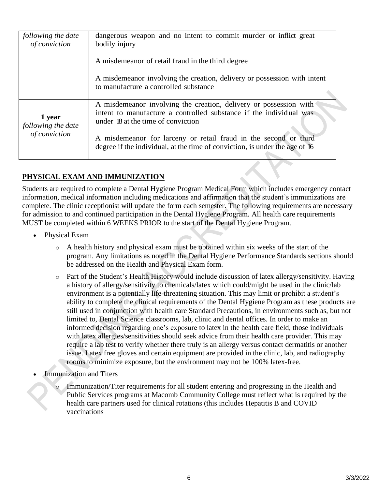| following the date<br>of conviction           | dangerous weapon and no intent to commit murder or inflict great<br>bodily injury                                                                                             |
|-----------------------------------------------|-------------------------------------------------------------------------------------------------------------------------------------------------------------------------------|
|                                               | A misdemean or of retail fraud in the third degree                                                                                                                            |
|                                               | A misdemean or involving the creation, delivery or possession with intent<br>to manufacture a controlled substance                                                            |
| 1 year<br>following the date<br>of conviction | A misdemeanor involving the creation, delivery or possession with<br>intent to manufacture a controlled substance if the individual was<br>under 18 at the time of conviction |
|                                               | A misdemeanor for larceny or retail fraud in the second or third<br>degree if the individual, at the time of conviction, is under the age of 16                               |

# **PHYSICAL EXAM AND IMMUNIZATION**

Students are required to complete a Dental Hygiene Program Medical Form which includes emergency contact information, medical information including medications and affirmation that the student's immunizations are complete. The clinic receptionist will update the form each semester. The following requirements are necessary for admission to and continued participation in the Dental Hygiene Program. All health care requirements MUST be completed within 6 WEEKS PRIOR to the start of the Dental Hygiene Program.

- Physical Exam
	- o A health history and physical exam must be obtained within six weeks of the start of the program. Any limitations as noted in the Dental Hygiene Performance Standards sections should be addressed on the Health and Physical Exam form.
	- o Part of the Student's Health History would include discussion of latex allergy/sensitivity. Having a history of allergy/sensitivity to chemicals/latex which could/might be used in the clinic/lab environment is a potentially life-threatening situation. This may limit or prohibit a student's ability to complete the clinical requirements of the Dental Hygiene Program as these products are still used in conjunction with health care Standard Precautions, in environments such as, but not limited to, Dental Science classrooms, lab, clinic and dental offices. In order to make an informed decision regarding one's exposure to latex in the health care field, those individuals with latex allergies/sensitivities should seek advice from their health care provider. This may require a lab test to verify whether there truly is an allergy versus contact dermatitis or another issue. Latex free gloves and certain equipment are provided in the clinic, lab, and radiography rooms to minimize exposure, but the environment may not be 100% latex-free.
- Immunization and Titers
	- o Immunization/Titer requirements for all student entering and progressing in the Health and Public Services programs at Macomb Community College must reflect what is required by the health care partners used for clinical rotations (this includes Hepatitis B and COVID vaccinations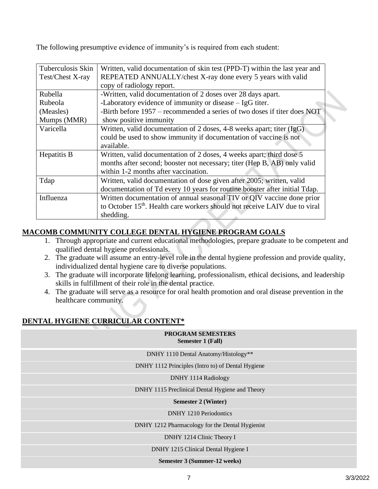The following presumptive evidence of immunity's is required from each student:

| Tuberculosis Skin | Written, valid documentation of skin test (PPD-T) within the last year and             |  |  |
|-------------------|----------------------------------------------------------------------------------------|--|--|
| Test/Chest X-ray  | REPEATED ANNUALLY/chest X-ray done every 5 years with valid                            |  |  |
|                   | copy of radiology report.                                                              |  |  |
| Rubella           | -Written, valid documentation of 2 doses over 28 days apart.                           |  |  |
| Rubeola           | -Laboratory evidence of immunity or disease $-$ IgG titer.                             |  |  |
| (Measles)         | -Birth before 1957 – recommended a series of two doses if titer does NOT               |  |  |
| Mumps (MMR)       | show positive immunity                                                                 |  |  |
| Varicella         | Written, valid documentation of 2 doses, $4-8$ weeks apart; titer (IgG)                |  |  |
|                   | could be used to show immunity if documentation of vaccine is not                      |  |  |
|                   | available.                                                                             |  |  |
| Hepatitis B       | Written, valid documentation of 2 doses, 4 weeks apart; third dose 5                   |  |  |
|                   | months after second; booster not necessary; titer (Hep B, AB) only valid               |  |  |
|                   | within 1-2 months after vaccination.                                                   |  |  |
| Tdap              | Written, valid documentation of dose given after 2005; written, valid                  |  |  |
|                   | documentation of Td every 10 years for routine booster after initial Tdap.             |  |  |
| Influenza         | Written documentation of annual seasonal TIV or QIV vaccine done prior                 |  |  |
|                   | to October 15 <sup>th</sup> . Health care workers should not receive LAIV due to viral |  |  |
|                   | shedding.                                                                              |  |  |

# **MACOMB COMMUNITY COLLEGE DENTAL HYGIENE PROGRAM GOALS**

- 1. Through appropriate and current educational methodologies, prepare graduate to be competent and qualified dental hygiene professionals.
- 2. The graduate will assume an entry-level role in the dental hygiene profession and provide quality, individualized dental hygiene care to diverse populations.
- 3. The graduate will incorporate lifelong learning, professionalism, ethical decisions, and leadership skills in fulfillment of their role in the dental practice.
- 4. The graduate will serve as a resource for oral health promotion and oral disease prevention in the healthcare community.

# **DENTAL HYGIENE CURRICULAR CONTENT\***

| <b>PROGRAM SEMESTERS</b><br><b>Semester 1 (Fall)</b> |
|------------------------------------------------------|
| DNHY 1110 Dental Anatomy/Histology**                 |
| DNHY 1112 Principles (Intro to) of Dental Hygiene    |
| DNHY 1114 Radiology                                  |
| DNHY 1115 Preclinical Dental Hygiene and Theory      |
| <b>Semester 2 (Winter)</b>                           |
| <b>DNHY</b> 1210 Periodontics                        |
| DNHY 1212 Pharmacology for the Dental Hygienist      |
| DNHY 1214 Clinic Theory I                            |
| DNHY 1215 Clinical Dental Hygiene I                  |
| Semester 3 (Summer-12 weeks)                         |

 $\tilde{a}$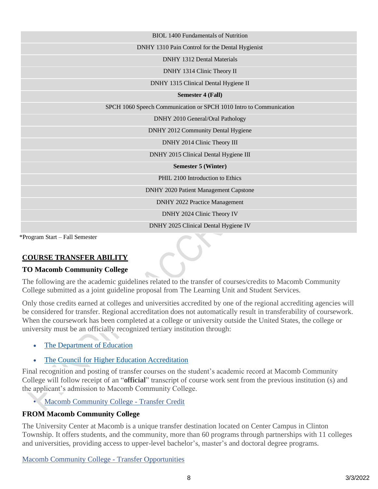|                                | <b>BIOL 1400 Fundamentals of Nutrition</b>                         |  |
|--------------------------------|--------------------------------------------------------------------|--|
|                                | DNHY 1310 Pain Control for the Dental Hygienist                    |  |
|                                | DNHY 1312 Dental Materials                                         |  |
|                                | DNHY 1314 Clinic Theory II                                         |  |
|                                | DNHY 1315 Clinical Dental Hygiene II                               |  |
|                                | <b>Semester 4 (Fall)</b>                                           |  |
|                                | SPCH 1060 Speech Communication or SPCH 1010 Intro to Communication |  |
|                                | DNHY 2010 General/Oral Pathology                                   |  |
|                                | DNHY 2012 Community Dental Hygiene                                 |  |
|                                | DNHY 2014 Clinic Theory III                                        |  |
|                                | DNHY 2015 Clinical Dental Hygiene III                              |  |
|                                | <b>Semester 5 (Winter)</b>                                         |  |
|                                | PHIL 2100 Introduction to Ethics                                   |  |
|                                | <b>DNHY 2020 Patient Management Capstone</b>                       |  |
|                                | <b>DNHY 2022 Practice Management</b>                               |  |
|                                | DNHY 2024 Clinic Theory IV                                         |  |
|                                | DNHY 2025 Clinical Dental Hygiene IV                               |  |
| *Program Start – Fall Semester | $\sim$                                                             |  |

# **COURSE TRANSFER ABILITY**

#### **TO Macomb Community College**

The following are the academic guidelines related to the transfer of courses/credits to Macomb Community College submitted as a joint guideline proposal from The Learning Unit and Student Services.

Only those credits earned at colleges and universities accredited by one of the regional accrediting agencies will be considered for transfer. Regional accreditation does not automatically result in transferability of coursework. When the coursework has been completed at a college or university outside the United States, the college or university must be an officially recognized tertiary institution through:

- [The Department of Education](http://ope.ed.gov/accreditation/Search.aspx)
- The Council [for Higher Education Accreditation](http://www.chea.org/)

Final recognition and posting of transfer courses on the student's academic record at Macomb Community College will follow receipt of an "**official**" transcript of course work sent from the previous institution (s) and the applicant's admission to Macomb Community College.

• [Macomb Community College -](https://www.macomb.edu/about-macomb/college-policies/administrative/transfer-credit.html) Transfer Credit

### **FROM Macomb Community College**

The University Center at Macomb is a unique transfer destination located on Center Campus in Clinton Township. It offers students, and the community, more than 60 programs through partnerships with 11 colleges and universities, providing access to upper-level bachelor's, master's and doctoral degree programs.

[Macomb Community College -](https://www.macomb.edu/future-students/choose-program/transfer-opportunities/index.html) Transfer Opportunities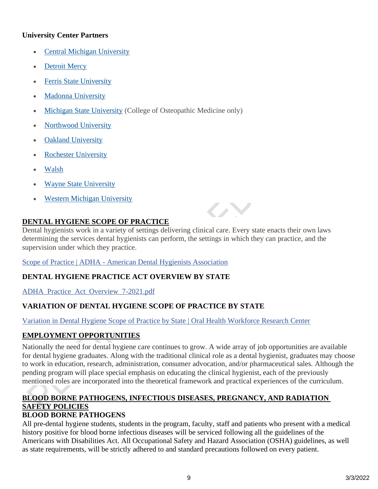### **University Center Partners**

- [Central Michigan University](https://www.macomb.edu/future-students/choose-program/university-center/central-michigan-university.html)
- **[Detroit Mercy](https://www.macomb.edu/future-students/choose-program/university-center/detroit-mercy.html)**
- **[Ferris State University](https://www.macomb.edu/future-students/choose-program/university-center/ferris-state-university.html)**
- [Madonna University](https://www.macomb.edu/future-students/choose-program/university-center/madonna-university.html)
- [Michigan State](https://www.macomb.edu/future-students/choose-program/university-center/michigan-state-university.html) University (College of Osteopathic Medicine only)
- [Northwood University](https://www.macomb.edu/future-students/choose-program/university-center/northwood-university.html)
- **[Oakland University](https://www.macomb.edu/future-students/choose-program/university-center/oakland-university.html)**
- **[Rochester University](https://www.macomb.edu/future-students/choose-program/university-center/rochester-university.html)**
- [Walsh](https://www.macomb.edu/future-students/choose-program/university-center/walsh-college.html)
- [Wayne State University](https://www.macomb.edu/future-students/choose-program/university-center/wayne-state-university.html)
- [Western Michigan University](https://www.macomb.edu/future-students/choose-program/university-center/western-michigan-university.html)

# **DENTAL HYGIENE SCOPE OF PRACTICE**

Dental hygienists work in a variety of settings delivering clinical care. Every state enacts their own laws determining the services dental hygienists can perform, the settings in which they can practice, and the supervision under which they practice.

 $\sim$ 

Scope of Practice | ADHA - [American Dental Hygienists Association](https://www.adha.org/scope-of-practice)

# **DENTAL HYGIENE PRACTICE ACT OVERVIEW BY STATE**

[ADHA\\_Practice\\_Act\\_Overview\\_7-2021.pdf](https://www.adha.org/resources-docs/advocacy/practice-issues/scope-of-practice/ADHA_Practice_Act_Overview_7-2021.pdf)

# **VARIATION OF DENTAL HYGIENE SCOPE OF PRACTICE BY STATE**

[Variation in Dental Hygiene Scope of Practice by State | Oral Health Workforce Research Center](https://oralhealthworkforce.org/resources/variation-in-dental-hygiene-scope-of-practice-by-state/)

# **EMPLOYMENT OPPORTUNITIES**

Nationally the need for dental hygiene care continues to grow. A wide array of job opportunities are available for dental hygiene graduates. Along with the traditional clinical role as a dental hygienist, graduates may choose to work in education, research, administration, consumer advocation, and/or pharmaceutical sales. Although the pending program will place special emphasis on educating the clinical hygienist, each of the previously mentioned roles are incorporated into the theoretical framework and practical experiences of the curriculum.

# **BLOOD BORNE PATHOGENS, INFECTIOUS DISEASES, PREGNANCY, AND RADIATION SAFETY POLICIES**

### **BLOOD BORNE PATHOGENS**

All pre-dental hygiene students, students in the program, faculty, staff and patients who present with a medical history positive for blood borne infectious diseases will be serviced following all the guidelines of the Americans with Disabilities Act. All Occupational Safety and Hazard Association (OSHA) guidelines, as well as state requirements, will be strictly adhered to and standard precautions followed on every patient.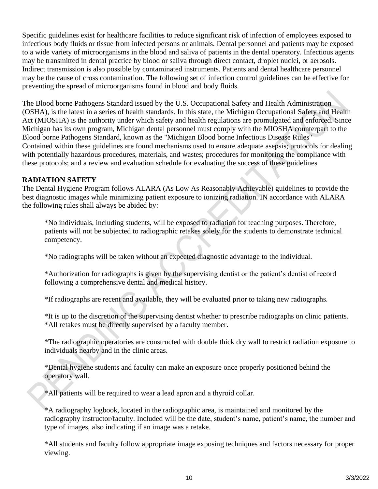Specific guidelines exist for healthcare facilities to reduce significant risk of infection of employees exposed to infectious body fluids or tissue from infected persons or animals. Dental personnel and patients may be exposed to a wide variety of microorganisms in the blood and saliva of patients in the dental operatory. Infectious agents may be transmitted in dental practice by blood or saliva through direct contact, droplet nuclei, or aerosols. Indirect transmission is also possible by contaminated instruments. Patients and dental healthcare personnel may be the cause of cross contamination. The following set of infection control guidelines can be effective for preventing the spread of microorganisms found in blood and body fluids.

The Blood borne Pathogens Standard issued by the U.S. Occupational Safety and Health Administration (OSHA), is the latest in a series of health standards. In this state, the Michigan Occupational Safety and Health Act (MIOSHA) is the authority under which safety and health regulations are promulgated and enforced. Since Michigan has its own program, Michigan dental personnel must comply with the MIOSHA counterpart to the Blood borne Pathogens Standard, known as the "Michigan Blood borne Infectious Disease Rules" Contained within these guidelines are found mechanisms used to ensure adequate asepsis; protocols for dealing with potentially hazardous procedures, materials, and wastes; procedures for monitoring the compliance with these protocols; and a review and evaluation schedule for evaluating the success of these guidelines

### **RADIATION SAFETY**

The Dental Hygiene Program follows ALARA (As Low As Reasonably Achievable) guidelines to provide the best diagnostic images while minimizing patient exposure to ionizing radiation. IN accordance with ALARA the following rules shall always be abided by:

\*No individuals, including students, will be exposed to radiation for teaching purposes. Therefore, patients will not be subjected to radiographic retakes solely for the students to demonstrate technical competency.

\*No radiographs will be taken without an expected diagnostic advantage to the individual.

\*Authorization for radiographs is given by the supervising dentist or the patient's dentist of record following a comprehensive dental and medical history.

\*If radiographs are recent and available, they will be evaluated prior to taking new radiographs.

\*It is up to the discretion of the supervising dentist whether to prescribe radiographs on clinic patients. \*All retakes must be directly supervised by a faculty member.

\*The radiographic operatories are constructed with double thick dry wall to restrict radiation exposure to individuals nearby and in the clinic areas.

\*Dental hygiene students and faculty can make an exposure once properly positioned behind the operatory wall.

\*All patients will be required to wear a lead apron and a thyroid collar.

\*A radiography logbook, located in the radiographic area, is maintained and monitored by the radiography instructor/faculty. Included will be the date, student's name, patient's name, the number and type of images, also indicating if an image was a retake.

\*All students and faculty follow appropriate image exposing techniques and factors necessary for proper viewing.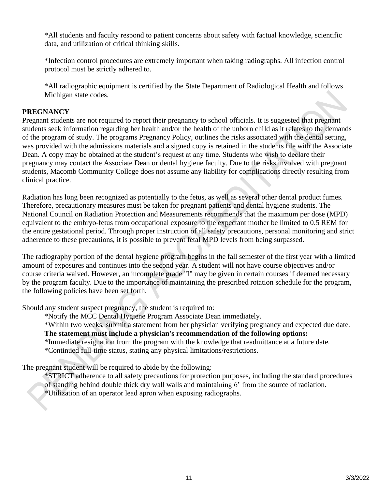\*All students and faculty respond to patient concerns about safety with factual knowledge, scientific data, and utilization of critical thinking skills.

\*Infection control procedures are extremely important when taking radiographs. All infection control protocol must be strictly adhered to.

\*All radiographic equipment is certified by the State Department of Radiological Health and follows Michigan state codes.

## **PREGNANCY**

Pregnant students are not required to report their pregnancy to school officials. It is suggested that pregnant students seek information regarding her health and/or the health of the unborn child as it relates to the demands of the program of study. The programs Pregnancy Policy, outlines the risks associated with the dental setting, was provided with the admissions materials and a signed copy is retained in the students file with the Associate Dean. A copy may be obtained at the student's request at any time. Students who wish to declare their pregnancy may contact the Associate Dean or dental hygiene faculty. Due to the risks involved with pregnant students, Macomb Community College does not assume any liability for complications directly resulting from clinical practice.

Radiation has long been recognized as potentially to the fetus, as well as several other dental product fumes. Therefore, precautionary measures must be taken for pregnant patients and dental hygiene students. The National Council on Radiation Protection and Measurements recommends that the maximum per dose (MPD) equivalent to the embryo-fetus from occupational exposure to the expectant mother be limited to 0.5 REM for the entire gestational period. Through proper instruction of all safety precautions, personal monitoring and strict adherence to these precautions, it is possible to prevent fetal MPD levels from being surpassed.

The radiography portion of the dental hygiene program begins in the fall semester of the first year with a limited amount of exposures and continues into the second year. A student will not have course objectives and/or course criteria waived. However, an incomplete grade "I" may be given in certain courses if deemed necessary by the program faculty. Due to the importance of maintaining the prescribed rotation schedule for the program, the following policies have been set forth.

Should any student suspect pregnancy, the student is required to:

\*Notify the MCC Dental Hygiene Program Associate Dean immediately.

\*Within two weeks, submit a statement from her physician verifying pregnancy and expected due date. **The statement must include a physician's recommendation of the following options:** 

\*Immediate resignation from the program with the knowledge that readmittance at a future date. \*Continued full-time status, stating any physical limitations/restrictions.

The pregnant student will be required to abide by the following:

\*STRICT adherence to all safety precautions for protection purposes, including the standard procedures of standing behind double thick dry wall walls and maintaining 6' from the source of radiation.

\*Utilization of an operator lead apron when exposing radiographs.